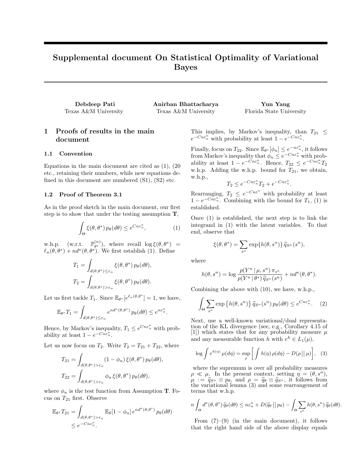# Supplemental document On Statistical Optimality of Variational Bayes

| Debdeep Pati         | Anirban Bhattacharya |
|----------------------|----------------------|
| Texas A&M University | Texas A&M University |

# 1 Proofs of results in the main document

# 1.1 Convention

Equations in the main document are cited as (1), (20 etc., retaining their numbers, while new equations defined in this document are numbered (S1), (S2) etc.

# 1.2 Proof of Theorem 3.1

As in the proof sketch in the main document, our first step is to show that under the testing assumption  $T$ ,

$$
\int_{\Theta} \xi(\theta, \theta^*) p_{\theta}(d\theta) \le e^{C n \varepsilon_n^{\kappa}}, \tag{1}
$$

w.h.p.  $(w.r.t. \mathbb{P}_{\theta^*}^{(n)})$  $\theta^{(n)}_{\theta^*}$ , where recall  $\log \xi(\theta, \theta^*)$  =  $\ell_n(\theta, \theta^*) + nd^{\kappa}(\theta, \theta^*)$ . We first establish (1). Define

$$
T_1 = \int_{d(\theta,\theta^*) \leq \varepsilon_n} \xi(\theta,\theta^*) p_{\theta}(d\theta),
$$
  

$$
T_2 = \int_{d(\theta,\theta^*) > \varepsilon_n} \xi(\theta,\theta^*) p_{\theta}(d\theta).
$$

Let us first tackle  $T_1$ . Since  $\mathbb{E}_{\theta^*}[e^{\ell_n(\theta,\theta^*}]=1$ , we have,

$$
\mathbb{E}_{\theta^*} T_1 = \int_{d(\theta,\theta^*) \leq \varepsilon_n} e^{nd^{\kappa}(\theta,\theta^*)} p_{\theta}(d\theta) \leq e^{n\varepsilon_n^{\kappa}}.
$$

Hence, by Markov's inequality,  $T_1 \n\t\le e^{Cn\varepsilon_n^{\kappa}}$  with probability at least  $1 - e^{-Cn\epsilon_n^{\kappa}}$ .

Let us now focus on  $T_2$ . Write  $T_2 = T_{21} + T_{22}$ , where

$$
T_{21} = \int_{d(\theta,\theta^*) > \varepsilon_n} (1 - \phi_n) \xi(\theta, \theta^*) p_{\theta}(d\theta),
$$
  

$$
T_{22} = \int_{d(\theta,\theta^*) > \varepsilon_n} \phi_n \xi(\theta, \theta^*) p_{\theta}(d\theta),
$$

where  $\phi_n$  is the test function from Assumption T. Focus on  $T_{21}$  first. Observe

$$
\mathbb{E}_{\theta^*} T_{21} = \int_{d(\theta,\theta^*) > \varepsilon_n} \mathbb{E}_{\theta} [1 - \phi_n] e^{nd^{\kappa}(\theta,\theta^*)} p_{\theta}(d\theta)
$$
  

$$
\leq e^{-Cn\varepsilon_n^{\kappa}}.
$$

This implies, by Markov's inequality, than  $T_{21} \leq$  $e^{-Cn\varepsilon_n^{\kappa}}$  with probability at least  $1 - e^{-Cn\varepsilon_n^{\kappa}}$ .

Yun Yang Florida State University

Finally, focus on  $T_{22}$ . Since  $\mathbb{E}_{\theta^*}[\phi_n] \leq e^{-n\varepsilon_n^{\kappa}}$ , it follows from Markov's inequality that  $\phi_n \leq e^{-Cn\varepsilon_n^{\kappa}}$  with probability at least  $1 - e^{-\check{C}n\epsilon_n^{\kappa}}$ . Hence,  $T_{22} \leq e^{-\check{C}n\epsilon_n^{\kappa}}T_2$ w.h.p. Adding the w.h.p. bound for  $T_{21}$ , we obtain, w.h.p.,

$$
T_2 \le e^{-Cn\varepsilon_n^{\kappa}} T_2 + e^{-Cn\varepsilon_n^{\kappa}}.
$$

Rearranging,  $T_2 \n\leq e^{-Cn\varepsilon^{\kappa}}$  with probability at least  $1 - e^{-Cn \varepsilon_n^{\kappa}}$ . Combining with the bound for  $T_1$ , (1) is established.

Once (1) is established, the next step is to link the integrand in (1) with the latent variables. To that end, observe that

$$
\xi(\theta,\theta^*)=\sum_{s^n}\exp\{h(\theta,s^n)\}\,\widehat{q}_{S^n}(s^n),
$$

where

$$
h(\theta, s^n) = \log \frac{p(Y^n | \mu, s^n) \pi_{s^n}}{p(Y^n | \theta^*) \hat{q}_{S^n}(s^n)} + nd^{\kappa}(\theta, \theta^*).
$$

Combining the above with (10), we have, w.h.p.,

$$
\int_{\Theta} \sum_{s^n} \exp\left\{ h(\theta, s^n) \right\} \hat{q}_{S^n}(s^n) \, p_{\theta}(d\theta) \le e^{C n \varepsilon_n^{\kappa}}. \tag{2}
$$

Next, use a well-known variational/dual representation of the KL divergence (see, e.g., Corollary 4.15 of [1]) which states that for any probability measure  $\mu$ and any measurable function h with  $e^h \in L_1(\mu)$ ,

$$
\log \int e^{h(\eta)} \,\mu(d\eta) = \sup_{\rho} \left[ \int h(\eta) \,\rho(d\eta) - D(\rho \, || \, \mu) \right], \tag{3}
$$

where the supremum is over all probability measures  $\rho \ll \mu$ . In the present context, setting  $\eta = (\theta, s^n)$ ,  $\mu := \hat{q}_{\mathcal{S}^n} \otimes p_{\theta}$ , and  $\rho = \hat{q}_{\theta} \otimes \hat{q}_{\mathcal{S}^n}$ , it follows from the variational lemma (3) and some rearrangement of terms that w.h.p.

$$
n\int_{\Theta} d^{\kappa}(\theta,\theta^*) \widehat{q}_{\theta}(d\theta) \leq n \varepsilon_n^{\kappa} + D(\widehat{q}_{\theta} \left| \left| p_{\theta} \right| - \int_{\Theta} \sum_{s^n} h(\theta,s^n) \widehat{q}_{\theta}(d\theta).
$$

From  $(7)-(9)$  (in the main document), it follows that the right hand side of the above display equals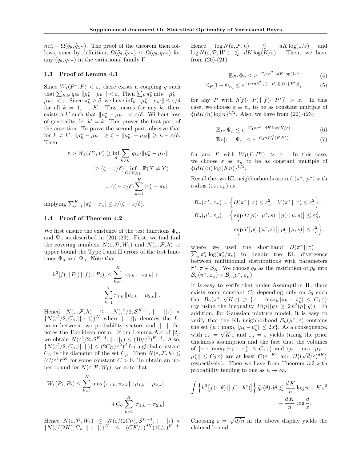$n\varepsilon_n^{\kappa} + \Omega(\widehat{q}_{\theta}, \widehat{q}_{S^n})$ . The proof of the theorem then fol-<br>lows since by definition  $\Omega(\widehat{q}_{\theta}, \widehat{q}_{\sigma}) \leq \Omega(q_{\theta}, q_{\sigma})$  for lows, since by definition,  $\Omega(\hat{q}_{\theta}, \hat{q}_{S^n}) \leq \Omega(q_{\theta}, q_{S^n})$  for any  $(q_\theta, q_{S^n})$  in the variational family Γ.

#### 1.3 Proof of Lemma 4.3

Since  $W_1(P^*, P) < \varepsilon$ , there exists a coupling q such that  $\sum_{k,k'} q_{kk'} ||\mu_k^* - \mu_{k'}|| < \varepsilon$ . Then  $\sum_k \pi_k^* \inf_{k'} ||\mu_k^* |\mu_{k'}| < \varepsilon$ . Since  $\pi_k^* \ge \delta$ , we have  $\inf_{k'} ||\mu_k^* - \mu_{k'}|| \le \varepsilon/\delta$ for all  $k = 1, ..., K$ . This means for any k, there exists a k' such that  $\|\mu_k^* - \mu_{k'}\| < \varepsilon/\delta$ . Without loss of generality, let  $k' = k$ . This proves the first part of the assertion. To prove the second part, observe that for  $k \neq k'$ ,  $\|\mu_k^* - \mu_{k'}\| \geq \zeta - \|\mu_{k'}^* - \mu_{k'}\| \geq \kappa - \varepsilon/\delta$ . Then

$$
\varepsilon > W_1(P^*, P) \ge \inf_q \sum_{k \neq k'} q_{kk'} \|\mu_k^* - \mu_{k'}\|
$$
  
 
$$
\ge (\zeta - \varepsilon/\delta) \inf_{C \in C_{XY}} \mathbb{P}(X \neq Y)
$$
  

$$
= (\zeta - \varepsilon/\delta) \sum_{k=1}^K |\pi_k^* - \pi_k|,
$$

implying  $\sum_{k=1}^{K} |\pi_k^* - \pi_k| \leq \varepsilon/(\zeta - \varepsilon/\delta).$ 

#### 1.4 Proof of Theorem 4.2

We first ensure the existence of the test functions  $\Phi_n$ , and  $\Psi_n$  as described in (20)-(23). First, we find find the covering numbers  $N(\varepsilon, \mathcal{P}, W_1)$  and  $N(\varepsilon, \mathcal{F}, h)$  to upper bound the Type I and II errors of the test functions  $\Phi_n$  and  $\Psi_n$ . Note that

$$
h^{2}[f(\cdot | P_{1}) || f(\cdot | P_{2})] \leq \sum_{k=1}^{K} |\pi_{1,k} - \pi_{2,k}| +
$$

$$
\sum_{k=1}^{k} \pi_{1,k} ||\mu_{1,k} - \mu_{2,k}||.
$$

Hencd  $N(\varepsilon, \mathcal{F}, h) \leq N(\varepsilon^2/2, \mathcal{S}^{K-1}, || \cdot ||_1) \times$  ${N(\varepsilon^2/2, C_\mu, ||\cdot||)}^K$  where  $||\cdot||_1$  denotes the  $L_1$ norm between two probability vectors and  $|| \cdot ||$  denotes the Euclidean norm. From Lemma A.4 of [2], we obtain  $N(\varepsilon^2/2, \mathcal{S}^{K-1}, || \cdot ||_1) \leq (10/\varepsilon^2)^{K-1}$ . Also,  $\{N(\varepsilon^2/2, C_\mu, ||\cdot||)\}\leq (2C_U/\varepsilon^2)^d$  for a global constant  $C_U$  is the diameter of the set  $C_\mu$ . Then  $N(\varepsilon, \mathcal{F}, h) \leq$  $(C/\varepsilon^2)^{dK}$  for some constant  $C > 0$ . To obtain an upper bound for  $N(\varepsilon, \mathcal{P}, W_1)$ , we note that

$$
W_1(P_1, P_2) \le \sum_{k=1}^K \max{\{\pi_{1,k}, \pi_{2,k}\}} ||\mu_{1,k} - \mu_{2,k}||
$$

$$
+ C_U \sum_{k=1}^K |\pi_{1,k} - \pi_{2,k}|.
$$

Hence  $N(\varepsilon, \mathcal{P}, W_1) \leq N(\varepsilon/(2C_U), \mathcal{S}^{K-1}, || \cdot ||_1) \times$  ${N(\varepsilon/(2K), C_\mu, || \cdot ||)}^K \le (CK/\varepsilon)^{dK}(10/\varepsilon)^{K-1}.$  Hence  $\log N(\varepsilon, \mathcal{F}, h) \leq dK \log(1/\varepsilon)$  and  $\log N(\varepsilon,\mathcal{P},W_1) \leq dK \log(K/\varepsilon)$ . Then, we have from  $(20)-(21)$ 

$$
\mathbb{E}_{P^*} \Phi_n \le e^{-C_1 n \varepsilon^2 + dK \log(1/\varepsilon)} \tag{4}
$$

$$
\mathbb{E}_P[1 - \Phi_n] \le e^{-C_2 n h^2 [f(\cdot | P) || f(\cdot | P^*)]},\tag{5}
$$

for any P with  $h[f(\cdot | P) || f(\cdot | P^*)] > \varepsilon$ . In this case, we choose  $\varepsilon \equiv \varepsilon_n$  to be as constant multiple of  $\{(dK/n)\log n\}^{1/2}$ . Also, we have from  $(22)-(23)$ 

$$
\mathbb{E}_{P^*} \Psi_n \le e^{-C_1 n \varepsilon^2 + dK \log(K/\varepsilon)}
$$
(6)

$$
\mathbb{E}_P[1 - \Psi_n] \le e^{-C_2 n W_1^2(P, P^*)},\tag{7}
$$

for any P with  $W_1(P, P^*) > \varepsilon$ . In this case, we choose  $\varepsilon \equiv \varepsilon_n$  to be as constant multiple of  $\{(dK/n)\log(Kn)\}^{1/2}.$ 

Recall the two KL neighborhoods around  $(\pi^*, \mu^*)$  with radius  $(\varepsilon_{\pi}, \varepsilon_{\mu})$  as

$$
\mathcal{B}_n(\pi^*, \varepsilon_\pi) = \left\{ D(\pi^* \mid \mid \pi) \le \varepsilon_\pi^2, \quad V(\pi^* \mid \mid \pi) \le \varepsilon_\pi^2 \right\},
$$
  

$$
\mathcal{B}_n(\mu^*, \varepsilon_\mu) = \left\{ \sup_s D\big[p(\cdot \mid \mu^*, s) \mid \mid p(\cdot \mid \mu, s)\big] \le \varepsilon_\mu^2, \right\},
$$
  

$$
\sup_s V\big[p(\cdot \mid \mu^*, s) \mid \mid p(\cdot \mid \mu, s)\big] \le \varepsilon_\mu^2 \right\},
$$

where we used the shorthand  $D(\pi^* || \pi)$  =  $\sum_{s} \pi_{s}^{*} \log(\pi_{s}^{*}/\pi_{s})$  to denote the KL divergence between multinomial distributions with parameters  $\pi^*, \pi \in \mathcal{S}_K$ . We choose  $q_\theta$  as the restriction of  $p_\theta$  into  $\mathcal{B}_n(\pi^*, \varepsilon_\pi) \times \mathcal{B}_n(\mu^*, \varepsilon_\mu).$ 

It is easy to verify that under Assumption  $\bf{R}$ , there exists some constant  $C_1$  depending only on  $\delta_0$  such that  $\mathcal{B}_n(\pi^*, \sqrt{K}\varepsilon) \supset {\pi : \max_k |\pi_k - \pi_k^*| \leq C_1 \varepsilon}$ (by using the inequality  $D(p||q) \geq 2 h^2(p||q)$ ). In addition, for Gaussian mixture model, it is easy to verify that the KL neighborhood  $\mathcal{B}_n(\mu^*, \varepsilon)$  contains the set  $\{\mu : \max_k ||\mu_k - \mu_k^*|| \leq 2\varepsilon\}$ . As a consequence, with  $\varepsilon_{\pi} = \sqrt{K \varepsilon}$  and  $\varepsilon_{\mu} = \varepsilon$  yields (using the prior thickness assumption and the fact that the volumes of  $\{\pi : \max_k |\pi_k - \pi_k^*| \leq C_1 \varepsilon\}$  and  $\{\mu : \max_k |\mu_k - \pi_k^*| \leq C_1 \varepsilon\}$  $\|\mu_k^*\| \leq C_2 \varepsilon$  are at least  $\mathcal{O}(\varepsilon^{-K})$  and  $\mathcal{O}((\sqrt{d}/\varepsilon)^{dK})$ respectively). Then we have from Theorem 3.2,with probability tending to one as  $n \to \infty$ ,

$$
\int \left\{ h^2 \left[ f(\cdot \mid \theta) \mid \middle| f(\cdot \mid \theta^*) \right] \right\} \hat{q}_{\theta}(\theta) d\theta \lesssim \frac{dK}{n} \log n + K \varepsilon^2 + \frac{dK}{n} \log \frac{d}{\varepsilon}.
$$

Choosing  $\varepsilon = \sqrt{d/n}$  in the above display yields the claimed bound.